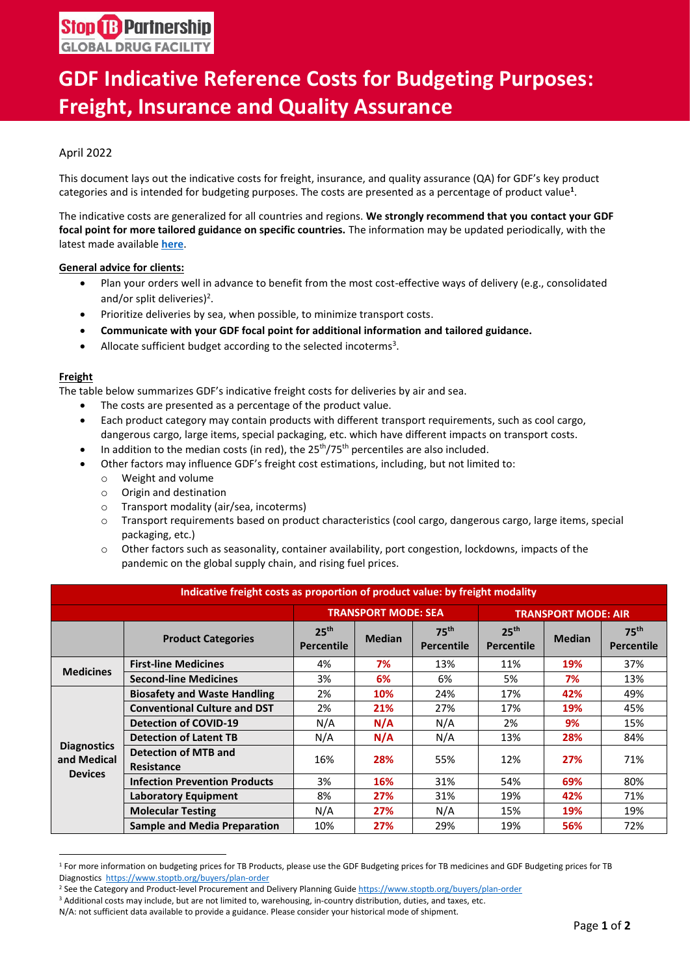# **GDF Indicative Reference Costs for Budgeting Purposes: Freight, Insurance and Quality Assurance**

### April 2022

This document lays out the indicative costs for freight, insurance, and quality assurance (QA) for GDF's key product categories and is intended for budgeting purposes. The costs are presented as a percentage of product value**<sup>1</sup>** .

The indicative costs are generalized for all countries and regions. **We strongly recommend that you contact your GDF focal point for more tailored guidance on specific countries.** The information may be updated periodically, with the latest made available **[here](https://www.stoptb.org/buyers/plan-order)**.

### **General advice for clients:**

- Plan your orders well in advance to benefit from the most cost-effective ways of delivery (e.g., consolidated and/or split deliveries)<sup>2</sup>.
- Prioritize deliveries by sea, when possible, to minimize transport costs.
- **Communicate with your GDF focal point for additional information and tailored guidance.**
- Allocate sufficient budget according to the selected incoterms<sup>3</sup>.

### **Freight**

The table below summarizes GDF's indicative freight costs for deliveries by air and sea.

- The costs are presented as a percentage of the product value.
- Each product category may contain products with different transport requirements, such as cool cargo, dangerous cargo, large items, special packaging, etc. which have different impacts on transport costs.
- In addition to the median costs (in red), the  $25<sup>th</sup>/75<sup>th</sup>$  percentiles are also included.
- Other factors may influence GDF's freight cost estimations, including, but not limited to:
	- o Weight and volume
	- o Origin and destination
	- o Transport modality (air/sea, incoterms)
	- o Transport requirements based on product characteristics (cool cargo, dangerous cargo, large items, special packaging, etc.)
	- o Other factors such as seasonality, container availability, port congestion, lockdowns, impacts of the pandemic on the global supply chain, and rising fuel prices.

| Indicative freight costs as proportion of product value: by freight modality |                                                  |                                       |               |                                       |                                       |               |                                       |  |
|------------------------------------------------------------------------------|--------------------------------------------------|---------------------------------------|---------------|---------------------------------------|---------------------------------------|---------------|---------------------------------------|--|
|                                                                              |                                                  | <b>TRANSPORT MODE: SEA</b>            |               | <b>TRANSPORT MODE: AIR</b>            |                                       |               |                                       |  |
|                                                                              | <b>Product Categories</b>                        | 25 <sup>th</sup><br><b>Percentile</b> | <b>Median</b> | 75 <sup>th</sup><br><b>Percentile</b> | 25 <sup>th</sup><br><b>Percentile</b> | <b>Median</b> | 75 <sup>th</sup><br><b>Percentile</b> |  |
| <b>Medicines</b>                                                             | <b>First-line Medicines</b>                      | 4%                                    | 7%            | 13%                                   | 11%                                   | <b>19%</b>    | 37%                                   |  |
|                                                                              | <b>Second-line Medicines</b>                     | 3%                                    | 6%            | 6%                                    | 5%                                    | 7%            | 13%                                   |  |
| <b>Diagnostics</b><br>and Medical<br><b>Devices</b>                          | <b>Biosafety and Waste Handling</b>              | 2%                                    | 10%           | 24%                                   | 17%                                   | 42%           | 49%                                   |  |
|                                                                              | <b>Conventional Culture and DST</b>              | 2%                                    | 21%           | 27%                                   | 17%                                   | <b>19%</b>    | 45%                                   |  |
|                                                                              | <b>Detection of COVID-19</b>                     | N/A                                   | N/A           | N/A                                   | 2%                                    | 9%            | 15%                                   |  |
|                                                                              | <b>Detection of Latent TB</b>                    | N/A                                   | N/A           | N/A                                   | 13%                                   | 28%           | 84%                                   |  |
|                                                                              | <b>Detection of MTB and</b><br><b>Resistance</b> | 16%                                   | 28%           | 55%                                   | 12%                                   | 27%           | 71%                                   |  |
|                                                                              | <b>Infection Prevention Products</b>             | 3%                                    | 16%           | 31%                                   | 54%                                   | 69%           | 80%                                   |  |
|                                                                              | <b>Laboratory Equipment</b>                      | 8%                                    | 27%           | 31%                                   | 19%                                   | 42%           | 71%                                   |  |
|                                                                              | <b>Molecular Testing</b>                         | N/A                                   | 27%           | N/A                                   | 15%                                   | <b>19%</b>    | 19%                                   |  |
|                                                                              | <b>Sample and Media Preparation</b>              | 10%                                   | 27%           | 29%                                   | 19%                                   | 56%           | 72%                                   |  |

<sup>1</sup> For more information on budgeting prices for TB Products, please use the GDF Budgeting prices for TB medicines and GDF Budgeting prices for TB Diagnostics<https://www.stoptb.org/buyers/plan-order>

<sup>&</sup>lt;sup>2</sup> See the Category and Product-level Procurement and Delivery Planning Guid[e https://www.stoptb.org/buyers/plan-order](https://www.stoptb.org/buyers/plan-order)

<sup>3</sup> Additional costs may include, but are not limited to, warehousing, in-country distribution, duties, and taxes, etc.

N/A: not sufficient data available to provide a guidance. Please consider your historical mode of shipment.